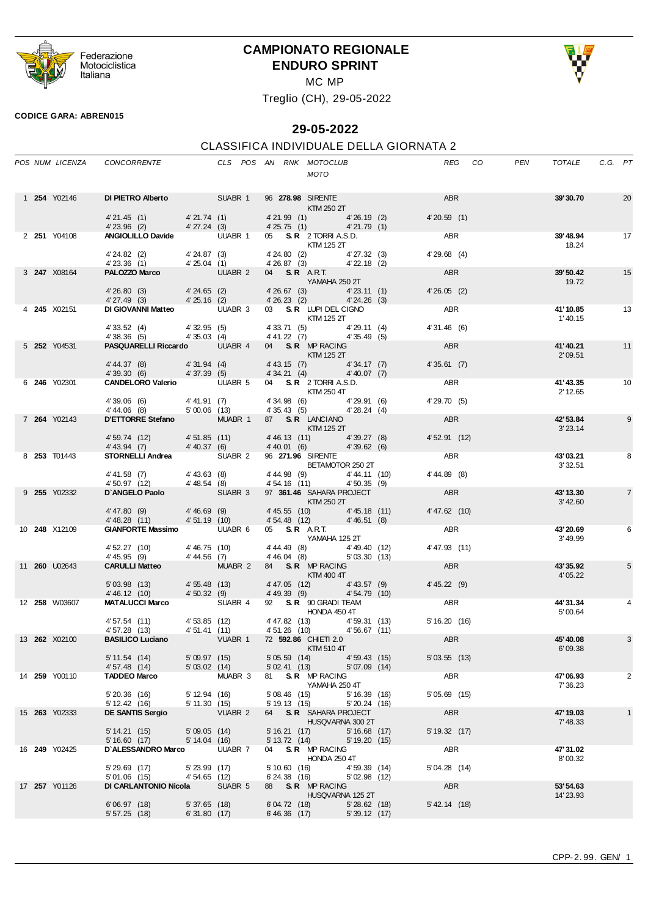

# **CAMPIONATO REGIONALE ENDURO SPRINT**



MC MP

Treglio (CH), 29-05-2022

#### **CODICE GARA: ABREN015**

# **29-05-2022**

#### CLASSIFICA INDIVIDUALE DELLA GIORNATA 2

|  | POS NUM LICENZA      | CONCORRENTE                                                                                                                                                          |                            |         |              | CLS POS AN RNK MOTOCLUB<br>MOTO                                                                                                                                                                                                                                      | REG             | PEN<br>CO | TOTALE                | C.G. PT         |
|--|----------------------|----------------------------------------------------------------------------------------------------------------------------------------------------------------------|----------------------------|---------|--------------|----------------------------------------------------------------------------------------------------------------------------------------------------------------------------------------------------------------------------------------------------------------------|-----------------|-----------|-----------------------|-----------------|
|  | 1 <b>254</b> Y02146  | DIPIETRO Alberto SUABR 1 96 278.98 SIRENTE ABR                                                                                                                       |                            |         |              |                                                                                                                                                                                                                                                                      |                 |           | 39'30.70              | $\overline{20}$ |
|  |                      | 4'21.45 (1) 4'21.74 (1) 4'21.99 (1)<br>4'23.96 (2) 4'27.24 (3) 4'25.75 (1) 4'26.19 (2)<br>ANGIOLILLO Davide UUABR 1 05 S.R 2 TORRI A.S.D.                            |                            |         |              | <b>KTM 250 2T</b>                                                                                                                                                                                                                                                    | 4'20.59(1)      |           |                       |                 |
|  | 2 <b>251</b> Y04108  |                                                                                                                                                                      |                            |         |              |                                                                                                                                                                                                                                                                      | ABR             |           | 39'48.94              | 17              |
|  |                      | 4'24.82 (2) $4'24.87$ (3) $4'24.80$ (2) $4'27.32$ (3)<br>4'23.36 (1) $4'25.04$ (1) $4'26.87$ (3) $4'22.18$ (2)                                                       |                            |         |              | <b>KTM 125 2T</b>                                                                                                                                                                                                                                                    | $4'29.68$ (4)   |           | 18.24                 |                 |
|  | 3 247 X08164         | PALOZZO Marco UUABR 2 04 S.R. A.R.T.                                                                                                                                 |                            |         |              |                                                                                                                                                                                                                                                                      | ABR             |           | 39'50.42              | 15              |
|  |                      | 4'26.80 (3) 4'24.65 (2) 4'26.67 (3) 4'23.11 (1)<br>4'27.49 (3) 4'25.16 (2) 4'26.23 (2) 4'24.26 (3)<br>DIGIOVANNI Matteo UUABR 3 03 S.R LUPI DEL CIGNO                |                            |         |              | YAMAHA 250 2T                                                                                                                                                                                                                                                        | 4'26.05(2)      |           | 19.72                 |                 |
|  | 4 <b>245</b> X02151  |                                                                                                                                                                      |                            |         |              | KTM 125 2T                                                                                                                                                                                                                                                           | ABR             |           | 41'10.85<br>1'40.15   | $\overline{13}$ |
|  |                      | 4' 33.52 (4) 4' 32.95 (5)<br>4' 38.36 (5) 4' 35.03 (4)                                                                                                               |                            |         |              | 4' 33.71 (5) 4' 29.11 (4)<br>4' 41.22 (7) 4' 35.49 (5)                                                                                                                                                                                                               | 4'31.46 (6)     |           |                       |                 |
|  | 5 252 Y04531         | PASQUARELLI Riccardo UUABR 4 04 S.R MP RACING<br>FASQUARELLI Riccardo UUABR 4 04 S.R MP RACING                                                                       |                            |         |              |                                                                                                                                                                                                                                                                      | ABR             |           | 41'40.21              | 11              |
|  |                      |                                                                                                                                                                      |                            |         |              |                                                                                                                                                                                                                                                                      | 4'35.61(7)      |           | 2'09.51               |                 |
|  | 6 246 Y02301         | 4'44.37 (8) 4'31.94 (4) 4'43.15 (7) 4'34.17 (7)<br>4'39.30 (6) 4'37.39 (5) 4'34.21 (4) 4'40.07 (7)<br>CANDELORO Valerio UUABR 5 04 S.R. 2 TORRI A.S.D.<br>KTM 250 4T |                            |         |              |                                                                                                                                                                                                                                                                      | ABR             |           | 41'43.35              | 10              |
|  |                      |                                                                                                                                                                      |                            |         |              |                                                                                                                                                                                                                                                                      | 4' 29.70 (5)    |           | 2' 12.65              |                 |
|  |                      | 4'39.06 (6) $4'41.91 (7)$ $4'34.98 (6)$ $4'29.91 (6)$<br>$4'44.06 (8)$ $5'00.06 (13)$ $4'35.43 (5)$ $4'28.24 (4)$                                                    |                            |         |              |                                                                                                                                                                                                                                                                      |                 |           |                       |                 |
|  | 7 264 Y02143         | D'ETTORRE Stefano MUABR 1 87 S. R LANCIANO                                                                                                                           |                            |         |              | $KTM$ 125 $2T$                                                                                                                                                                                                                                                       | <b>ABR</b>      |           | 42' 53.84<br>3'23.14  | 9               |
|  |                      | 4'59.74 (12) 4'51.85 (11) 4'46.13 (11) 4'39.27 (8)<br>$4'$ 43.94 (7) $4'$ 40.37 (6)                                                                                  |                            |         |              | 4'40.01 (6) 4'39.62 (6)                                                                                                                                                                                                                                              | 4'52.91(12)     |           |                       |                 |
|  | 8 <b>253</b> T01443  | <b>STORNELLI Andrea</b> SUABR 2 96 271.96 SIRENTE                                                                                                                    |                            |         |              | BETAMOTOR 250 2T                                                                                                                                                                                                                                                     | ABR             |           | 43'03.21<br>3' 32.51  | 8               |
|  |                      |                                                                                                                                                                      |                            |         |              | 4'44.11 (10) 4'44.11 (10)<br>$4'54.16$ (11) $4'50.35$ (9)                                                                                                                                                                                                            | $4' 44.89$ (8)  |           |                       |                 |
|  | 9 255 Y02332         | 4'41.58 (7) 4'43.63 (8)<br>4'50.97 (12) 4'48.54 (8)<br><b>D'ANGELO Paolo</b> SUABR 3                                                                                 |                            |         |              | SUABR 3 97 361.46 SAHARA PROJECT<br>$\blacksquare$ $\blacksquare$ $\blacksquare$ $\blacksquare$ $\blacksquare$ $\blacksquare$ $\blacksquare$ $\blacksquare$ $\blacksquare$ $\blacksquare$ $\blacksquare$ $\blacksquare$ $\blacksquare$ $\blacksquare$ $\blacksquare$ | <b>ABR</b>      |           | 43'13.30<br>3' 42.60  | $\overline{7}$  |
|  |                      | 4' 47.80 (9) $4'$ 46.69 (9) $4'$ 45.55 (10) $4'$ 45.18 (11)<br>4' 48.28 (11) $4'$ 51.19 (10) $4'$ 54.48 (12) $4'$ 46.51 (8)                                          |                            |         |              |                                                                                                                                                                                                                                                                      | $4' 47.62$ (10) |           |                       |                 |
|  | 10 248 X12109        | <b>GIANFORTE Massimo</b> UUABR 6 05 S.R. A.R.T.                                                                                                                      |                            |         |              |                                                                                                                                                                                                                                                                      | ABR             |           | 43'20.69              | 6               |
|  |                      | 4' 52.27 (10) 4' 46.75 (10)<br>4' 45.95 (9) 4' 44.56 (7)                                                                                                             |                            |         |              | YAMAHA 125 2T<br>4' 44.49 (8) 4' 49.40 (12)<br>4' 46.04 (8) 5' 03.30 (13)                                                                                                                                                                                            | 4' 47.93 (11)   |           | 3'49.99               |                 |
|  | 11 <b>260</b> U02643 | CARULLI Matteo MUABR 2 84 S.R MP RACING<br>CARULLI Matteo MUABR 2 84 S.R MP RACING                                                                                   |                            |         |              |                                                                                                                                                                                                                                                                      | ABR             |           | 43' 35.92             | 5               |
|  |                      | 5'03.98 (13) 4'55.48 (13)                                                                                                                                            |                            |         |              | 4'47.05 (12) 4'43.57 (9)                                                                                                                                                                                                                                             | 4'45.22(9)      |           | 4'05.22               |                 |
|  |                      | 4'46.12 (10) 4'50.32 (9) 4'46.12 (10)<br>MATALUCCI Marco SUABR 4 92 S.R. 90 GRADI TEAM                                                                               |                            |         |              |                                                                                                                                                                                                                                                                      |                 |           |                       |                 |
|  | 12 <b>258</b> W03607 |                                                                                                                                                                      |                            |         |              | $\sim$ $\sim$ $\kappa$ 90 GRADI TEAM<br>HONDA 450 4T                                                                                                                                                                                                                 | ABR             |           | 44'31.34<br>5'00.64   |                 |
|  |                      | 4'57.54 (11)   4'53.85 (12)   4'47.82 (13)   4'59.31 (13)<br>4'57.28 (13)   4'51.41 (11)   4'51.26 (10)   4'56.67 (11)                                               |                            |         |              |                                                                                                                                                                                                                                                                      | 5' 16.20 (16)   |           |                       |                 |
|  | 13 <b>262</b> X02100 | BASILICO Luciano VUABR 1 72 592.86 CHIETI 2.0                                                                                                                        |                            |         |              | KTM 510 4T                                                                                                                                                                                                                                                           | ABR             |           | 45' 40.08<br>6'09.38  | 3               |
|  |                      | $5' 11.54$ (14)                                                                                                                                                      | 5'09.97 (15)               |         |              | $5'05.59$ (14) $4'59.43$ (15)<br>5' 02.41 (13)<br>5'07.09(14)                                                                                                                                                                                                        | 5'03.55(13)     |           |                       |                 |
|  | 14 259 Y00110        | 4' 57.48 (14)<br><b>TADDEO Marco</b>                                                                                                                                 | 5'03.02(14)                | MUABR 3 |              | 81 S.R. MP RACING                                                                                                                                                                                                                                                    | ABR             |           | 47'06.93              | 2               |
|  |                      | 5'20.36(16)                                                                                                                                                          | 5' 12.94 (16)              |         | 5'08.46 (15) | YAMAHA 250 4T<br>5'16.39(16)                                                                                                                                                                                                                                         | $5'05.69$ (15)  |           | 7' 36.23              |                 |
|  | 15 263 Y02333        | 5'12.42(16)<br><b>DE SANTIS Sergio</b>                                                                                                                               | 5' 11.30 (15)              | VUABR 2 |              | 5' 19.13 (15)<br>5'20.24(16)<br>64 S.R. SAHARA PROJECT                                                                                                                                                                                                               | ABR             |           | 47' 19.03             | $\mathbf{1}$    |
|  |                      | 5' 14.21 (15)                                                                                                                                                        | 5'09.05(14)                |         | 5'16.21(17)  | HUSQVARNA 300 2T<br>5'16.68(17)                                                                                                                                                                                                                                      | $5'$ 19.32 (17) |           | 7'48.33               |                 |
|  |                      | 5'16.60(17)                                                                                                                                                          | 5'14.04(16)                |         |              | 5' 13.72 (14) 5' 19.20 (15)                                                                                                                                                                                                                                          |                 |           |                       |                 |
|  | 16 <b>249</b> Y02425 | D'ALESSANDRO Marco                                                                                                                                                   |                            | UUABR 7 |              | 04 S.R. MP RACING<br>HONDA 250 4T                                                                                                                                                                                                                                    | ABR             |           | 47'31.02<br>8'00.32   |                 |
|  |                      | $5'29.69$ (17)<br>$5'01.06$ (15)                                                                                                                                     | 5'23.99(17)<br>4'54.65(12) |         | 5'10.60(16)  | 4'59.39(14)<br>6'24.38 (16)<br>5'02.98(12)                                                                                                                                                                                                                           | 5'04.28(14)     |           |                       |                 |
|  | 17 257 Y01126        | <b>DI CARLANTONIO Nicola</b> SUABR 5                                                                                                                                 |                            |         |              | 88 S.R. MP RACING<br>HUSQVARNA 125 2T                                                                                                                                                                                                                                | ABR             |           | 53'54.63<br>14' 23.93 |                 |
|  |                      | 6'06.97(18)                                                                                                                                                          | $5'37.65$ (18)             |         | 6'04.72(18)  | $5'28.62$ (18)                                                                                                                                                                                                                                                       | $5'$ 42.14 (18) |           |                       |                 |
|  |                      | 5'57.25(18)                                                                                                                                                          | 6'31.80(17)                |         |              | $6'46.36$ (17) $5'39.12$ (17)                                                                                                                                                                                                                                        |                 |           |                       |                 |